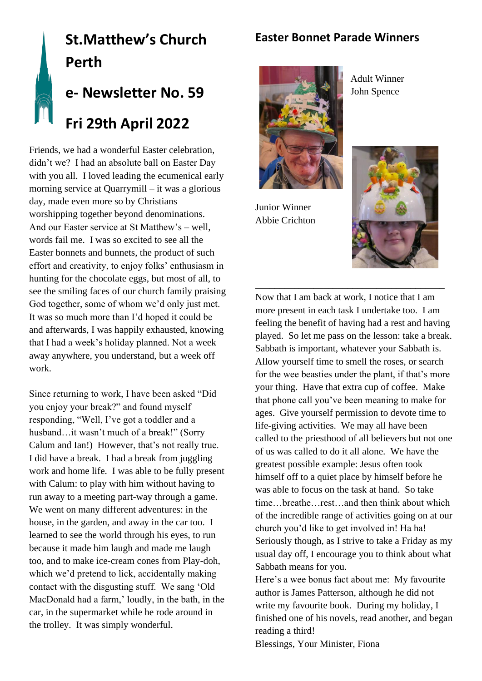## **Easter Bonnet Parade Winners**

# **St.Matthew's Church Perth e- Newsletter No. 59**

**Fri 29th April 2022**

Friends, we had a wonderful Easter celebration, didn't we? I had an absolute ball on Easter Day with you all. I loved leading the ecumenical early morning service at Quarrymill – it was a glorious day, made even more so by Christians worshipping together beyond denominations. And our Easter service at St Matthew's – well, words fail me. I was so excited to see all the Easter bonnets and bunnets, the product of such effort and creativity, to enjoy folks' enthusiasm in hunting for the chocolate eggs, but most of all, to see the smiling faces of our church family praising God together, some of whom we'd only just met. It was so much more than I'd hoped it could be and afterwards, I was happily exhausted, knowing that I had a week's holiday planned. Not a week away anywhere, you understand, but a week off work.

Since returning to work, I have been asked "Did you enjoy your break?" and found myself responding, "Well, I've got a toddler and a husband…it wasn't much of a break!" (Sorry Calum and Ian!) However, that's not really true. I did have a break. I had a break from juggling work and home life. I was able to be fully present with Calum: to play with him without having to run away to a meeting part-way through a game. We went on many different adventures: in the house, in the garden, and away in the car too. I learned to see the world through his eyes, to run because it made him laugh and made me laugh too, and to make ice-cream cones from Play-doh, which we'd pretend to lick, accidentally making contact with the disgusting stuff. We sang 'Old MacDonald had a farm,' loudly, in the bath, in the car, in the supermarket while he rode around in the trolley. It was simply wonderful.



Junior Winner Abbie Crichton



Now that I am back at work, I notice that I am more present in each task I undertake too. I am feeling the benefit of having had a rest and having played. So let me pass on the lesson: take a break. Sabbath is important, whatever your Sabbath is. Allow yourself time to smell the roses, or search for the wee beasties under the plant, if that's more your thing. Have that extra cup of coffee. Make that phone call you've been meaning to make for ages. Give yourself permission to devote time to life-giving activities. We may all have been called to the priesthood of all believers but not one of us was called to do it all alone. We have the greatest possible example: Jesus often took himself off to a quiet place by himself before he was able to focus on the task at hand. So take time…breathe…rest…and then think about which of the incredible range of activities going on at our church you'd like to get involved in! Ha ha! Seriously though, as I strive to take a Friday as my usual day off, I encourage you to think about what Sabbath means for you.

\_\_\_\_\_\_\_\_\_\_\_\_\_\_\_\_\_\_\_\_\_\_\_\_\_\_\_\_\_\_\_\_\_\_\_\_\_\_\_

Here's a wee bonus fact about me: My favourite author is James Patterson, although he did not write my favourite book. During my holiday, I finished one of his novels, read another, and began reading a third!

Blessings, Your Minister, Fiona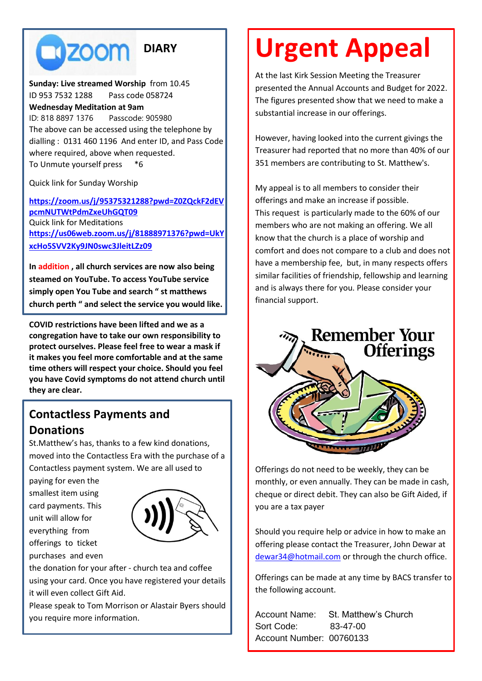**TIZOOM DIARY**

**Sunday: Live streamed Worship** from 10.45 ID 953 7532 1288 Pass code 058724 **Wednesday Meditation at 9am**  ID: 818 8897 1376 Passcode: 905980 The above can be accessed using the telephone by dialling : 0131 460 1196 And enter ID, and Pass Code where required, above when requested. To Unmute yourself press \*6

Quick link for Sunday Worship

**[https://zoom.us/j/95375321288?pwd=Z0ZQckF2dEV](https://zoom.us/j/95375321288?pwd=Z0ZQckF2dEVpcmNUTWtPdmZxeUhGQT09) [pcmNUTWtPdmZxeUhGQT09](https://zoom.us/j/95375321288?pwd=Z0ZQckF2dEVpcmNUTWtPdmZxeUhGQT09)** Quick link for Meditations **[https://us06web.zoom.us/j/81888971376?pwd=UkY](https://us06web.zoom.us/j/81888971376?pwd=UkYxcHo5SVV2Ky9JN0swc3JleitLZz09) [xcHo5SVV2Ky9JN0swc3JleitLZz09](https://us06web.zoom.us/j/81888971376?pwd=UkYxcHo5SVV2Ky9JN0swc3JleitLZz09)**

**In addition , all church services are now also being steamed on YouTube. To access YouTube service simply open You Tube and search " st matthews church perth " and select the service you would like.**

**COVID restrictions have been lifted and we as a congregation have to take our own responsibility to protect ourselves. Please feel free to wear a mask if it makes you feel more comfortable and at the same time others will respect your choice. Should you feel you have Covid symptoms do not attend church until they are clear.**

# **Contactless Payments and Donations**

St.Matthew's has, thanks to a few kind donations, moved into the Contactless Era with the purchase of a Contactless payment system. We are all used to

paying for even the smallest item using card payments. This unit will allow for everything from offerings to ticket purchases and even



the donation for your after - church tea and coffee using your card. Once you have registered your details it will even collect Gift Aid.

Please speak to Tom Morrison or Alastair Byers should you require more information.

# **Urgent Appeal**

At the last Kirk Session Meeting the Treasurer presented the Annual Accounts and Budget for 2022. The figures presented show that we need to make a substantial increase in our offerings.

However, having looked into the current givings the Treasurer had reported that no more than 40% of our 351 members are contributing to St. Matthew's.

My appeal is to all members to consider their offerings and make an increase if possible. This request is particularly made to the 60% of our members who are not making an offering. We all know that the church is a place of worship and comfort and does not compare to a club and does not have a membership fee, but, in many respects offers similar facilities of friendship, fellowship and learning and is always there for you. Please consider your financial support.



Offerings do not need to be weekly, they can be monthly, or even annually. They can be made in cash, cheque or direct debit. They can also be Gift Aided, if you are a tax payer

Should you require help or advice in how to make an offering please contact the Treasurer, John Dewar at [dewar34@hotmail.com](mailto:dewar34@hotmail.com) or through the church office.

Offerings can be made at any time by BACS transfer to the following account.

Account Name: St. Matthew's Church Sort Code: 83-47-00 Account Number: 00760133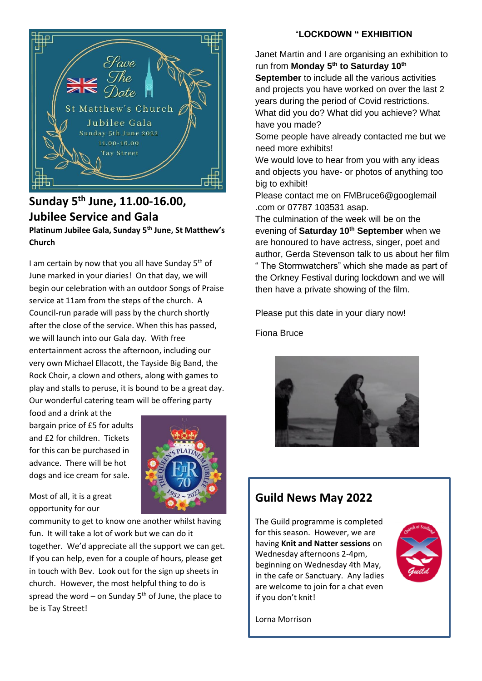

## **Sunday 5 th June, 11.00-16.00, Jubilee Service and Gala Platinum Jubilee Gala, Sunday 5th June, St Matthew's Church**

I am certain by now that you all have Sunday  $5<sup>th</sup>$  of June marked in your diaries! On that day, we will begin our celebration with an outdoor Songs of Praise service at 11am from the steps of the church. A Council-run parade will pass by the church shortly after the close of the service. When this has passed, we will launch into our Gala day. With free entertainment across the afternoon, including our very own Michael Ellacott, the Tayside Big Band, the Rock Choir, a clown and others, along with games to play and stalls to peruse, it is bound to be a great day. Our wonderful catering team will be offering party

food and a drink at the bargain price of £5 for adults and £2 for children. Tickets for this can be purchased in advance. There will be hot dogs and ice cream for sale.



Most of all, it is a great opportunity for our

community to get to know one another whilst having fun. It will take a lot of work but we can do it together. We'd appreciate all the support we can get. If you can help, even for a couple of hours, please get in touch with Bev. Look out for the sign up sheets in church. However, the most helpful thing to do is spread the word – on Sunday  $5<sup>th</sup>$  of June, the place to be is Tay Street!

#### "**LOCKDOWN " EXHIBITION**

Janet Martin and I are organising an exhibition to run from **Monday 5th to Saturday 10th September** to include all the various activities and projects you have worked on over the last 2 years during the period of Covid restrictions.

What did you do? What did you achieve? What have you made?

Some people have already contacted me but we need more exhibits!

We would love to hear from you with any ideas and objects you have- or photos of anything too big to exhibit!

Please contact me on FMBruce6@googlemail .com or 07787 103531 asap.

The culmination of the week will be on the evening of **Saturday 10th September** when we are honoured to have actress, singer, poet and author, Gerda Stevenson talk to us about her film " The Stormwatchers" which she made as part of the Orkney Festival during lockdown and we will then have a private showing of the film.

Please put this date in your diary now!

Fiona Bruce



## **Guild News May 2022**

The Guild programme is completed for this season. However, we are having **Knit and Natter sessions** on Wednesday afternoons 2-4pm, beginning on Wednesday 4th May, in the cafe or Sanctuary. Any ladies are welcome to join for a chat even if you don't knit!



Lorna Morrison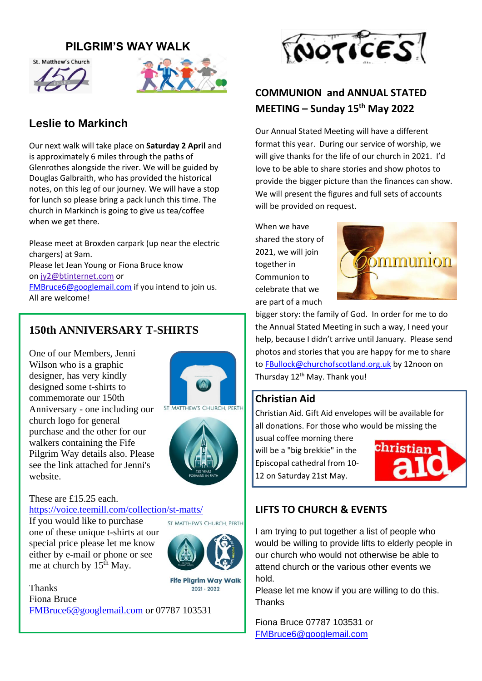### **PILGRIM'S WAY WALK**





# **Leslie to Markinch**

Our next walk will take place on **Saturday 2 April** and is approximately 6 miles through the paths of Glenrothes alongside the river. We will be guided by Douglas Galbraith, who has provided the historical notes, on this leg of our journey. We will have a stop for lunch so please bring a pack lunch this time. The church in Markinch is going to give us tea/coffee when we get there.

Please meet at Broxden carpark (up near the electric chargers) at 9am. Please let Jean Young or Fiona Bruce know on [jy2@btinternet.com](mailto:jy2@btinternet.com) or [FMBruce6@googlemail.com](mailto:FMBruce6@googlemail.com) if you intend to join us. All are welcome!

## **150th ANNIVERSARY T-SHIRTS**

One of our Members, Jenni Wilson who is a graphic designer, has very kindly designed some t-shirts to commemorate our 150th Anniversary - one including our church logo for general purchase and the other for our walkers containing the Fife Pilgrim Way details also. Please see the link attached for Jenni's website.





#### These are £15.25 each.

<https://voice.teemill.com/collection/st-matts/>

If you would like to purchase one of these unique t-shirts at our special price please let me know either by e-mail or phone or see me at church by  $15<sup>th</sup>$  May.



ST MATTHEW'S CHURCH. PERTH

**Fife Pilgrim Way Walk** Thanks 2021 - 2022 Fiona Bruce [FMBruce6@googlemail.com](mailto:FMBruce6@googlemail.com) or 07787 103531



# **COMMUNION and ANNUAL STATED MEETING – Sunday 15th May 2022**

Our Annual Stated Meeting will have a different format this year. During our service of worship, we will give thanks for the life of our church in 2021. I'd love to be able to share stories and show photos to provide the bigger picture than the finances can show. We will present the figures and full sets of accounts will be provided on request.

When we have shared the story of 2021, we will join together in Communion to celebrate that we are part of a much



bigger story: the family of God. In order for me to do the Annual Stated Meeting in such a way, I need your help, because I didn't arrive until January. Please send photos and stories that you are happy for me to share to [FBullock@churchofscotland.org.uk](mailto:FBullock@churchofscotland.org.uk) by 12noon on Thursday 12<sup>th</sup> May. Thank you!

#### **Christian Aid**

Christian Aid. Gift Aid envelopes will be available for all donations. For those who would be missing the

usual coffee morning there will be a "big brekkie" in the Episcopal cathedral from 10- 12 on Saturday 21st May.



## **LIFTS TO CHURCH & EVENTS**

I am trying to put together a list of people who would be willing to provide lifts to elderly people in our church who would not otherwise be able to attend church or the various other events we hold.

Please let me know if you are willing to do this. **Thanks** 

Fiona Bruce 07787 103531 or [FMBruce6@googlemail.com](mailto:FMBruce6@googlemail.com)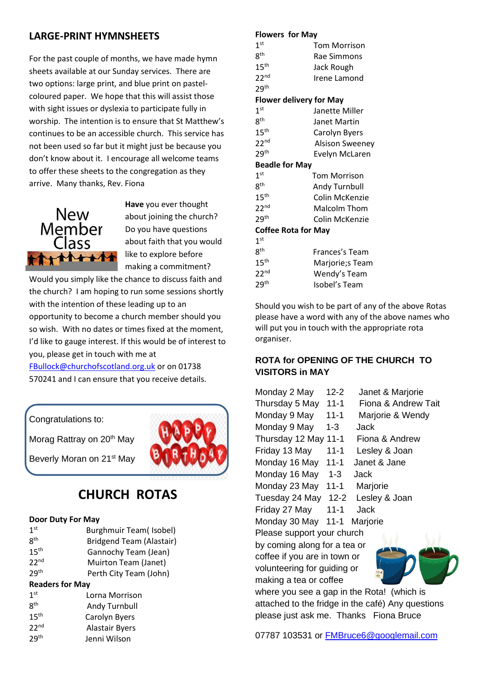#### **LARGE-PRINT HYMNSHEETS**

For the past couple of months, we have made hymn sheets available at our Sunday services. There are two options: large print, and blue print on pastelcoloured paper. We hope that this will assist those with sight issues or dyslexia to participate fully in worship. The intention is to ensure that St Matthew's continues to be an accessible church. This service has not been used so far but it might just be because you don't know about it. I encourage all welcome teams to offer these sheets to the congregation as they arrive. Many thanks, Rev. Fiona



**Have** you ever thought about joining the church? Do you have questions about faith that you would like to explore before making a commitment?

Would you simply like the chance to discuss faith and the church? I am hoping to run some sessions shortly with the intention of these leading up to an opportunity to become a church member should you so wish. With no dates or times fixed at the moment, I'd like to gauge interest. If this would be of interest to you, please get in touch with me at

[FBullock@churchofscotland.org.uk](mailto:FBullock@churchofscotland.org.uk) or on 01738 570241 and I can ensure that you receive details.

Congratulations to:

Morag Rattray on 20<sup>th</sup> May

Beverly Moran on 21<sup>st</sup> May

# **CHURCH ROTAS**

#### **Door Duty For May**

| 1 <sup>st</sup>        | Burghmuir Team(Isobel)   |  |
|------------------------|--------------------------|--|
| <b>Rth</b>             | Bridgend Team (Alastair) |  |
| 15 <sup>th</sup>       | Gannochy Team (Jean)     |  |
| 22 <sup>nd</sup>       | Muirton Team (Janet)     |  |
| 29 <sup>th</sup>       | Perth City Team (John)   |  |
| <b>Readers for May</b> |                          |  |

| 1 <sup>st</sup>  | Lorna Morrison        |
|------------------|-----------------------|
| <b>Rth</b>       | Andy Turnbull         |
| 15 <sup>th</sup> | Carolyn Byers         |
| 22 <sup>nd</sup> | <b>Alastair Byers</b> |
| 29 <sup>th</sup> | Jenni Wilson          |

#### **Flowers for May**

| ,                              |                        |
|--------------------------------|------------------------|
| 1 <sup>st</sup>                | <b>Tom Morrison</b>    |
| 8 <sup>th</sup>                | Rae Simmons            |
| 15 <sup>th</sup>               | Jack Rough             |
| 22 <sup>nd</sup>               | Irene Lamond           |
| 29 <sup>th</sup>               |                        |
| <b>Flower delivery for May</b> |                        |
| 1 <sup>st</sup>                | Janette Miller         |
| $8^{\sf th}$                   | Janet Martin           |
| 15 <sup>th</sup>               | Carolyn Byers          |
| 22 <sup>nd</sup>               | <b>Alsison Sweeney</b> |
| 29 <sup>th</sup>               | Evelyn McLaren         |
| <b>Beadle for May</b>          |                        |
| 1 <sup>st</sup>                | <b>Tom Morrison</b>    |
| 8 <sup>th</sup>                | <b>Andy Turnbull</b>   |
| 15 <sup>th</sup>               | Colin McKenzie         |
| 22 <sup>nd</sup>               | <b>Malcolm Thom</b>    |
| 29 <sup>th</sup>               | Colin McKenzie         |
| <b>Coffee Rota for May</b>     |                        |
| 1 <sup>st</sup>                |                        |
| 8 <sup>th</sup>                | Frances's Team         |
| 15 <sup>th</sup>               | Marjorie;s Team        |
| 22 <sup>nd</sup>               | Wendy's Team           |
| 29 <sup>th</sup>               | Isobel's Team          |
|                                |                        |

Should you wish to be part of any of the above Rotas please have a word with any of the above names who will put you in touch with the appropriate rota organiser.

#### **ROTA for OPENING OF THE CHURCH TO VISITORS in MAY**

| Monday 2 May                 | 12-2     | Janet & Marjorie                           |  |  |
|------------------------------|----------|--------------------------------------------|--|--|
| Thursday 5 May               | $11 - 1$ | Fiona & Andrew Tait                        |  |  |
| Monday 9 May                 | $11 - 1$ | Marjorie & Wendy                           |  |  |
| Monday 9 May                 | 1-3      | Jack                                       |  |  |
| Thursday 12 May 11-1         |          | Fiona & Andrew                             |  |  |
| Friday 13 May                | $11 - 1$ | Lesley & Joan                              |  |  |
| Monday 16 May                | 11-1     | Janet & Jane                               |  |  |
| Monday 16 May                | 1-3      | Jack                                       |  |  |
| Monday 23 May                | $11 - 1$ | Marjorie                                   |  |  |
| Tuesday 24 May 12-2          |          | Lesley & Joan                              |  |  |
| Friday 27 May                | $11 - 1$ | Jack                                       |  |  |
| Monday 30 May 11-1           |          | Marjorie                                   |  |  |
| Please support your church   |          |                                            |  |  |
| by coming along for a tea or |          |                                            |  |  |
| coffee if you are in town or |          |                                            |  |  |
| volunteering for guiding or  |          |                                            |  |  |
| making a tea or coffee       |          |                                            |  |  |
|                              |          | where you see a gap in the Rota! (which is |  |  |

attached to the fridge in the café) Any questions please just ask me. Thanks Fiona Bruce

07787 103531 or [FMBruce6@googlemail.com](mailto:FMBruce6@googlemail.com)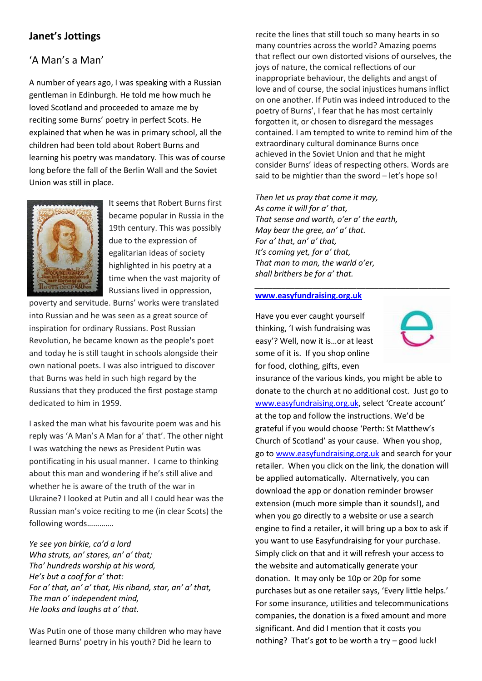## **Janet's Jottings**

## 'A Man's a Man'

A number of years ago, I was speaking with a Russian gentleman in Edinburgh. He told me how much he loved Scotland and proceeded to amaze me by reciting some Burns' poetry in perfect Scots. He explained that when he was in primary school, all the children had been told about Robert Burns and learning his poetry was mandatory. This was of course long before the fall of the Berlin Wall and the Soviet Union was still in place.



It seems that Robert Burns first became popular in Russia in the 19th century. This was possibly due to the expression of egalitarian ideas of society highlighted in his poetry at a time when the vast majority of Russians lived in oppression,

poverty and servitude. Burns' works were translated into Russian and he was seen as a great source of inspiration for ordinary Russians. Post Russian Revolution, he became known as the people's poet and today he is still taught in schools alongside their own national poets. I was also intrigued to discover that Burns was held in such high regard by the Russians that they produced the first postage stamp dedicated to him in 1959.

I asked the man what his favourite poem was and his reply was 'A Man's A Man for a' that'. The other night I was watching the news as President Putin was pontificating in his usual manner. I came to thinking about this man and wondering if he's still alive and whether he is aware of the truth of the war in Ukraine? I looked at Putin and all I could hear was the Russian man's voice reciting to me (in clear Scots) the following words………….

*Ye see yon birkie, ca'd a lord Wha struts, an' stares, an' a' that; Tho' hundreds worship at his word, He's but a coof for a' that: For a' that, an' a' that, His riband, star, an' a' that, The man o' independent mind, He looks and laughs at a' that.*

Was Putin one of those many children who may have learned Burns' poetry in his youth? Did he learn to

recite the lines that still touch so many hearts in so many countries across the world? Amazing poems that reflect our own distorted visions of ourselves, the joys of nature, the comical reflections of our inappropriate behaviour, the delights and angst of love and of course, the social injustices humans inflict on one another. If Putin was indeed introduced to the poetry of Burns', I fear that he has most certainly forgotten it, or chosen to disregard the messages contained. I am tempted to write to remind him of the extraordinary cultural dominance Burns once achieved in the Soviet Union and that he might consider Burns' ideas of respecting others. Words are said to be mightier than the sword – let's hope so!

*Then let us pray that come it may, As come it will for a' that, That sense and worth, o'er a' the earth, May bear the gree, an' a' that. For a' that, an' a' that, It's coming yet, for a' that, That man to man, the warld o'er, shall brithers be for a' that.*

*\_\_\_\_\_\_\_\_\_\_\_\_\_\_\_\_\_\_\_\_\_\_\_\_\_\_\_\_\_\_\_\_\_\_\_\_\_\_\_\_\_\_\_\_*

#### **[www.easyfundraising.org.uk](http://www.easyfundraising.org.uk/)**

Have you ever caught yourself thinking, 'I wish fundraising was easy'? Well, now it is…or at least some of it is. If you shop online for food, clothing, gifts, even



insurance of the various kinds, you might be able to donate to the church at no additional cost. Just go to [www.easyfundraising.org.uk,](http://www.easyfundraising.org.uk/) select 'Create account' at the top and follow the instructions. We'd be grateful if you would choose 'Perth: St Matthew's Church of Scotland' as your cause. When you shop, go to [www.easyfundraising.org.uk](http://www.easyfundraising.org.uk/) and search for your retailer. When you click on the link, the donation will be applied automatically. Alternatively, you can download the app or donation reminder browser extension (much more simple than it sounds!), and when you go directly to a website or use a search engine to find a retailer, it will bring up a box to ask if you want to use Easyfundraising for your purchase. Simply click on that and it will refresh your access to the website and automatically generate your donation. It may only be 10p or 20p for some purchases but as one retailer says, 'Every little helps.' For some insurance, utilities and telecommunications companies, the donation is a fixed amount and more significant. And did I mention that it costs you nothing? That's got to be worth a try – good luck!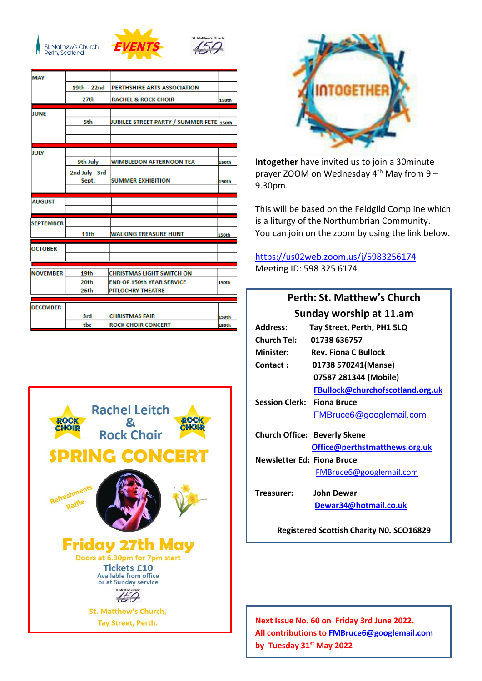



| <b>MAY</b>       |                |                                          |              |
|------------------|----------------|------------------------------------------|--------------|
|                  | 19th - 22nd    | PERTHSHIRE ARTS ASSOCIATION              |              |
|                  | 27th           | <b>RACHEL &amp; ROCK CHOIR</b>           | <b>150th</b> |
| <b>JUNE</b>      |                |                                          |              |
|                  | 5th            | JUBILEE STREET PARTY / SUMMER FETE 150th |              |
|                  |                |                                          |              |
|                  |                |                                          |              |
| JULY             |                |                                          |              |
|                  | 9th July       | <b>WIMBLEDON AFTERNOON TEA</b>           | 150th        |
|                  | 2nd July - 3rd |                                          |              |
|                  | Sept.          | <b>SUMMER EXHIBITION</b>                 | 150th        |
|                  |                |                                          |              |
| <b>AUGUST</b>    |                |                                          |              |
|                  |                |                                          |              |
| <b>SEPTEMBER</b> |                |                                          |              |
|                  | 11th           | WALKING TREASURE HUNT                    | 150th        |
|                  |                |                                          |              |
| <b>OCTOBER</b>   |                |                                          |              |
|                  |                |                                          |              |
| <b>NOVEMBER</b>  | 19th           | <b>CHRISTMAS LIGHT SWITCH ON</b>         |              |
|                  | 20th           | <b>END OF 150th YEAR SERVICE</b>         | 150th        |
|                  | 26th           | <b>PITLOCHRY THEATRE</b>                 |              |
| <b>DECEMBER</b>  |                |                                          |              |
|                  | 3rd            | <b>CHRISTMAS FAIR</b>                    | 150th        |
|                  | tbc            | <b>ROCK CHOIR CONCERT</b>                | <b>150th</b> |





**Intogether** have invited us to join a 30minute prayer ZOOM on Wednesday  $4<sup>th</sup>$  May from 9 -9.30pm.

This will be based on the Feldgild Compline which is a liturgy of the Northumbrian Community. You can join on the zoom by using the link below.

[https://us02web.zoom.us/j/5983256174](https://avanan.url-protection.com/v1/url?o=https%3A//us02web.zoom.us/j/5983256174&g=NjdjYTQ0YTJiNjBlN2NhNQ==&h=ODQxZjZhMmYxZmJlMWM5MTIwYmYwNzNhMjAyOWFhMDM1YmQ3MWViZWQ5M2E5NzY3N2NjNTE0YjViOWYzNDllNg==&p=YXAzOmNvczphOm86Y2VjYTZhZDExMDY4YjE1ZDdhOTM3NjM1Y2U3MWExMTc6djE6aDpO) Meeting ID: 598 325 6174

## **Perth: St. Matthew's Church Sunday worship at 11.am**

| <b>Address:</b>                                 | Tay Street, Perth, PH1 5LQ          |  |
|-------------------------------------------------|-------------------------------------|--|
| <b>Church Tel:</b>                              | 01738 636757                        |  |
| Minister:                                       | <b>Rev. Fiona C Bullock</b>         |  |
| Contact:                                        | 01738 570241(Manse)                 |  |
|                                                 | 07587 281344 (Mobile)               |  |
|                                                 | FBullock@churchofscotland.org.uk    |  |
| <b>Session Clerk: Fiona Bruce</b>               |                                     |  |
|                                                 | FMBruce6@googlemail.com             |  |
|                                                 | <b>Church Office: Beverly Skene</b> |  |
|                                                 | Office@perthstmatthews.org.uk       |  |
| <b>Newsletter Ed: Fiona Bruce</b>               |                                     |  |
|                                                 | FMBruce6@googlemail.com             |  |
| Treasurer:                                      | <b>John Dewar</b>                   |  |
|                                                 | Dewar34@hotmail.co.uk               |  |
| <b>Registered Scottish Charity NO. SCO16829</b> |                                     |  |

**Next Issue No. 60 on Friday 3rd June 2022. All contributions to [FMBruce6@googlemail.com](mailto:FMBruce6@googlemail.com) by Tuesday 31 st May 2022**